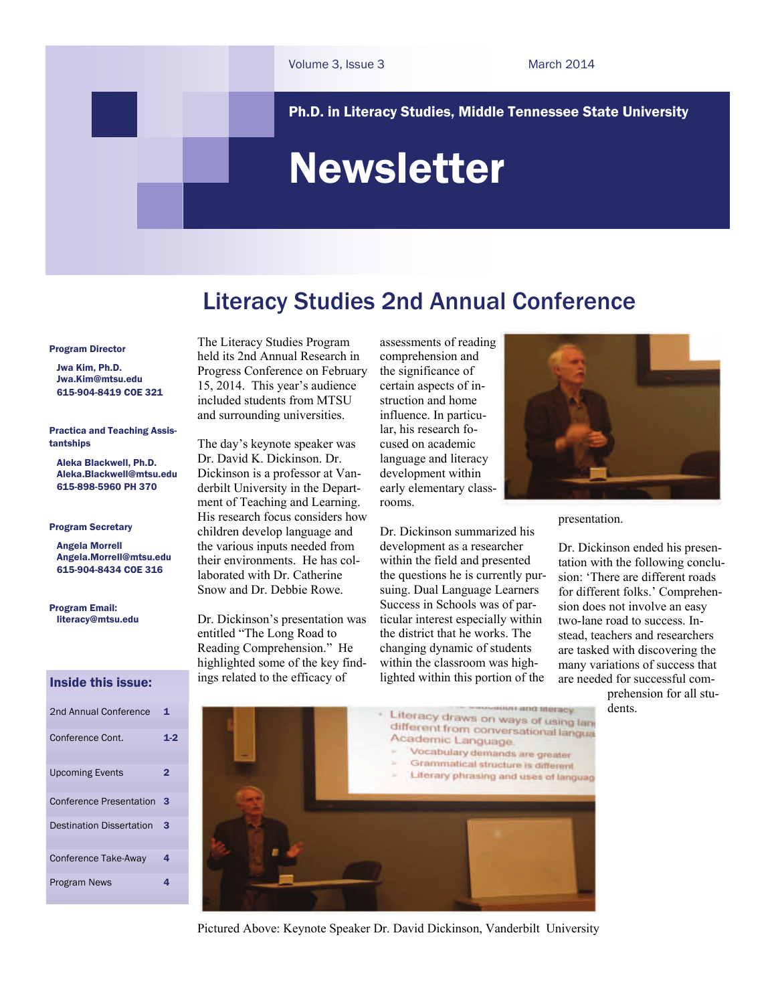Ph.D. in Literacy Studies, Middle Tennessee State University

# Newsletter

# Literacy Studies 2nd Annual Conference

#### Program Director

 Jwa Kim, Ph.D. [Jwa.Kim@mtsu.edu](mailto:pykim@mtsu.edu) 615-904-8419 COE 321

#### Practica and Teaching Assistantships

 Aleka Blackwell, Ph.D. Aleka.Blackwell@mtsu.edu 615-898-5960 PH 370

#### Program Secretary

 Angela Morrell Angela.Morrell[@mtsu.edu](mailto:pykim@mtsu.edu) 615-904-8434 COE 316

Program Email: literacy@mtsu.edu

### Inside this issue:

| 2nd Annual Conference           | 1            |
|---------------------------------|--------------|
| Conference Cont.                | $1-2$        |
| <b>Upcoming Events</b>          | $\mathbf{2}$ |
| <b>Conference Presentation</b>  | 3            |
| <b>Destination Dissertation</b> | 3            |
| Conference Take-Away            | 4            |
| <b>Program News</b>             | 4            |

The Literacy Studies Program held its 2nd Annual Research in Progress Conference on February 15, 2014. This year's audience included students from MTSU and surrounding universities.

The day's keynote speaker was Dr. David K. Dickinson. Dr. Dickinson is a professor at Vanderbilt University in the Department of Teaching and Learning. His research focus considers how children develop language and the various inputs needed from their environments. He has collaborated with Dr. Catherine Snow and Dr. Debbie Rowe.

Dr. Dickinson's presentation was entitled "The Long Road to Reading Comprehension." He highlighted some of the key findings related to the efficacy of

assessments of reading comprehension and the significance of certain aspects of instruction and home influence. In particular, his research focused on academic language and literacy development within early elementary classrooms.

Dr. Dickinson summarized his development as a researcher within the field and presented the questions he is currently pursuing. Dual Language Learners Success in Schools was of particular interest especially within the district that he works. The changing dynamic of students within the classroom was highlighted within this portion of the



presentation.

Dr. Dickinson ended his presentation with the following conclusion: 'There are different roads for different folks.' Comprehension does not involve an easy two-lane road to success. Instead, teachers and researchers are tasked with discovering the many variations of success that are needed for successful com-

> prehension for all students.



Pictured Above: Keynote Speaker Dr. David Dickinson, Vanderbilt University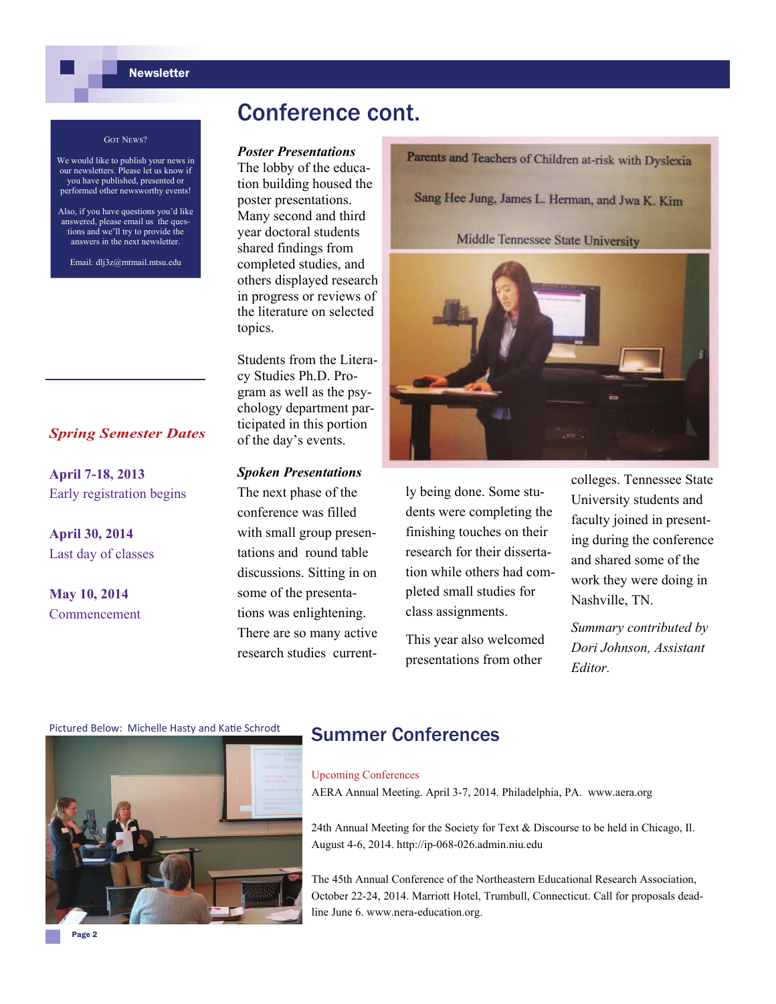### **Newsletter**

## Conference cont.

#### GOT NEWS?

- We would like to publish your news in our newsletters. Please let us know if you have published, presented or performed other newsworthy events!
- Also, if you have questions you'd like answered, please email us the questions and we'll try to provide the answers in the next newsletter.

Email: dlj3z@mtmail.mtsu.edu

### *Spring Semester Dates*

**April 7-18, 2013**  Early registration begins

**April 30, 2014**  Last day of classes

**May 10, 2014** Commencement

### *Poster Presentations*

The lobby of the education building housed the poster presentations. Many second and third year doctoral students shared findings from completed studies, and others displayed research in progress or reviews of the literature on selected topics.

Students from the Literacy Studies Ph.D. Program as well as the psychology department participated in this portion of the day's events.

### *Spoken Presentations*

The next phase of the conference was filled with small group presentations and round table discussions. Sitting in on some of the presentations was enlightening. There are so many active research studies current-



ly being done. Some students were completing the finishing touches on their research for their dissertation while others had completed small studies for class assignments.

This year also welcomed presentations from other

colleges. Tennessee State University students and faculty joined in presenting during the conference and shared some of the work they were doing in Nashville, TN.

*Summary contributed by Dori Johnson, Assistant Editor.* 





### Summer Conferences

### Upcoming Conferences

AERA Annual Meeting. April 3-7, 2014. Philadelphia, PA. www.aera.org

24th Annual Meeting for the Society for Text & Discourse to be held in Chicago, Il. August 4-6, 2014. http://ip-068-026.admin.niu.edu

The 45th Annual Conference of the Northeastern Educational Research Association, October 22-24, 2014. Marriott Hotel, Trumbull, Connecticut. Call for proposals deadline June 6. www.nera-education.org.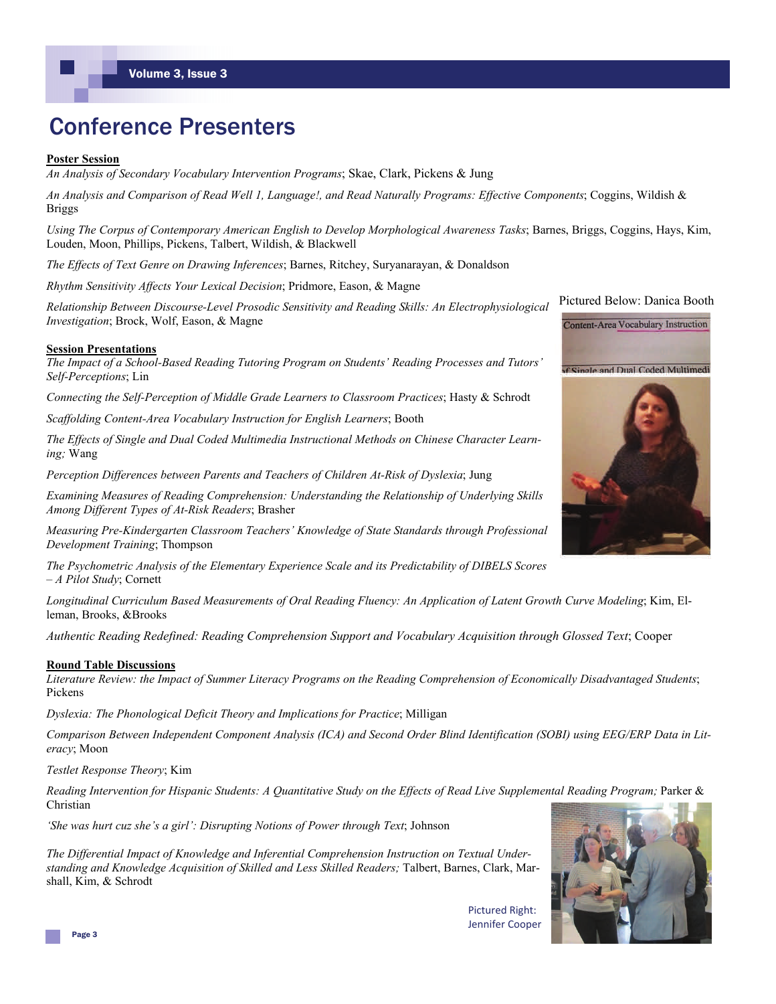# Conference Presenters

### **Poster Session**

*An Analysis of Secondary Vocabulary Intervention Programs*; Skae, Clark, Pickens & Jung

*An Analysis and Comparison of Read Well 1, Language!, and Read Naturally Programs: Effective Components*; Coggins, Wildish & Briggs

*Using The Corpus of Contemporary American English to Develop Morphological Awareness Tasks*; Barnes, Briggs, Coggins, Hays, Kim, Louden, Moon, Phillips, Pickens, Talbert, Wildish, & Blackwell

*The Effects of Text Genre on Drawing Inferences*; Barnes, Ritchey, Suryanarayan, & Donaldson

*Rhythm Sensitivity Affects Your Lexical Decision*; Pridmore, Eason, & Magne

*Relationship Between Discourse-Level Prosodic Sensitivity and Reading Skills: An Electrophysiological Investigation*; Brock, Wolf, Eason, & Magne Pictured Below: Danica Booth

### **Session Presentations**

*The Impact of a School-Based Reading Tutoring Program on Students' Reading Processes and Tutors' Self-Perceptions*; Lin

*Connecting the Self-Perception of Middle Grade Learners to Classroom Practices*; Hasty & Schrodt

*Scaffolding Content-Area Vocabulary Instruction for English Learners*; Booth

*The Effects of Single and Dual Coded Multimedia Instructional Methods on Chinese Character Learning;* Wang

*Perception Differences between Parents and Teachers of Children At-Risk of Dyslexia*; Jung

*Examining Measures of Reading Comprehension: Understanding the Relationship of Underlying Skills Among Different Types of At-Risk Readers*; Brasher

*Measuring Pre-Kindergarten Classroom Teachers' Knowledge of State Standards through Professional Development Training*; Thompson

*The Psychometric Analysis of the Elementary Experience Scale and its Predictability of DIBELS Scores – A Pilot Study*; Cornett

*Longitudinal Curriculum Based Measurements of Oral Reading Fluency: An Application of Latent Growth Curve Modeling*; Kim, Elleman, Brooks, &Brooks

*Authentic Reading Redefined: Reading Comprehension Support and Vocabulary Acquisition through Glossed Text*; Cooper

### **Round Table Discussions**

*Literature Review: the Impact of Summer Literacy Programs on the Reading Comprehension of Economically Disadvantaged Students*; Pickens

*Dyslexia: The Phonological Deficit Theory and Implications for Practice*; Milligan

*Comparison Between Independent Component Analysis (ICA) and Second Order Blind Identification (SOBI) using EEG/ERP Data in Literacy*; Moon

*Testlet Response Theory*; Kim

*Reading Intervention for Hispanic Students: A Quantitative Study on the Effects of Read Live Supplemental Reading Program; Parker &* Christian

*'She was hurt cuz she's a girl': Disrupting Notions of Power through Text*; Johnson

*The Differential Impact of Knowledge and Inferential Comprehension Instruction on Textual Understanding and Knowledge Acquisition of Skilled and Less Skilled Readers;* Talbert, Barnes, Clark, Marshall, Kim, & Schrodt



Pictured Right: Jennifer Cooper Content-Area Vocabulary Instruction **If Single and Dual Coded Multimedi**